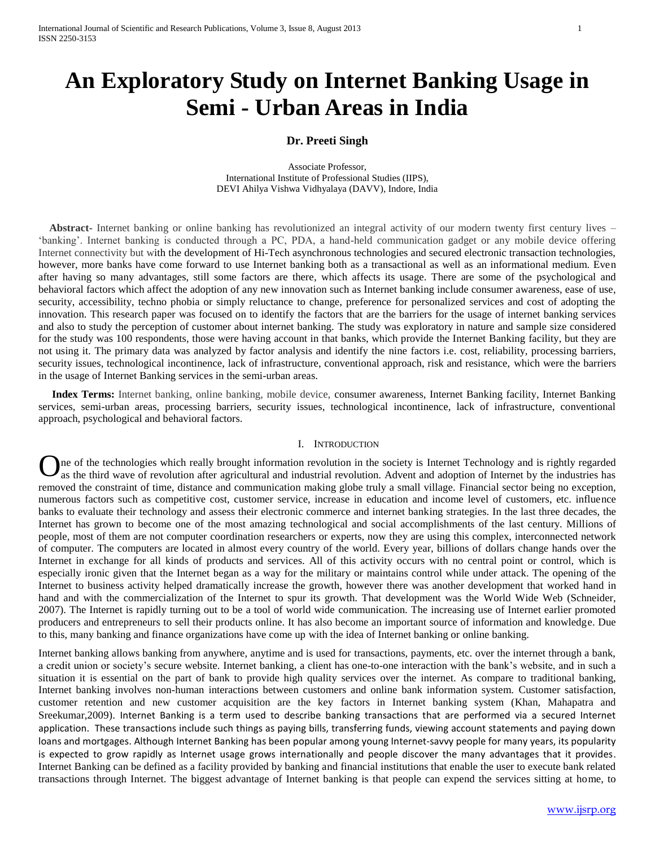# **An Exploratory Study on Internet Banking Usage in Semi - Urban Areas in India**

## **Dr. Preeti Singh**

Associate Professor, International Institute of Professional Studies (IIPS), DEVI Ahilya Vishwa Vidhyalaya (DAVV), Indore, India

 **Abstract-** Internet banking or online banking has revolutionized an integral activity of our modern twenty first century lives – 'banking'. Internet banking is conducted through a PC, PDA, a hand-held communication gadget or any mobile device offering Internet connectivity but with the development of Hi-Tech asynchronous technologies and secured electronic transaction technologies, however, more banks have come forward to use Internet banking both as a transactional as well as an informational medium. Even after having so many advantages, still some factors are there, which affects its usage. There are some of the psychological and behavioral factors which affect the adoption of any new innovation such as Internet banking include consumer awareness, ease of use, security, accessibility, techno phobia or simply reluctance to change, preference for personalized services and cost of adopting the innovation. This research paper was focused on to identify the factors that are the barriers for the usage of internet banking services and also to study the perception of customer about internet banking. The study was exploratory in nature and sample size considered for the study was 100 respondents, those were having account in that banks, which provide the Internet Banking facility, but they are not using it. The primary data was analyzed by factor analysis and identify the nine factors i.e. cost, reliability, processing barriers, security issues, technological incontinence, lack of infrastructure, conventional approach, risk and resistance, which were the barriers in the usage of Internet Banking services in the semi-urban areas.

 **Index Terms:** Internet banking, online banking, mobile device, consumer awareness, Internet Banking facility, Internet Banking services, semi-urban areas, processing barriers, security issues, technological incontinence, lack of infrastructure, conventional approach, psychological and behavioral factors.

## I. INTRODUCTION

ne of the technologies which really brought information revolution in the society is Internet Technology and is rightly regarded as the third wave of revolution after agricultural and industrial revolution. Advent and adoption of Internet by the industries has removed the constraint of time, distance and communication making globe truly a small village. Financial sector being no exception, numerous factors such as competitive cost, customer service, increase in education and income level of customers, etc. influence banks to evaluate their technology and assess their electronic commerce and internet banking strategies. In the last three decades, the Internet has grown to become one of the most amazing technological and social accomplishments of the last century. Millions of people, most of them are not computer coordination researchers or experts, now they are using this complex, interconnected network of computer. The computers are located in almost every country of the world. Every year, billions of dollars change hands over the Internet in exchange for all kinds of products and services. All of this activity occurs with no central point or control, which is especially ironic given that the Internet began as a way for the military or maintains control while under attack. The opening of the Internet to business activity helped dramatically increase the growth, however there was another development that worked hand in hand and with the commercialization of the Internet to spur its growth. That development was the World Wide Web (Schneider, 2007). The Internet is rapidly turning out to be a tool of world wide communication. The increasing use of Internet earlier promoted producers and entrepreneurs to sell their products online. It has also become an important source of information and knowledge. Due to this, many banking and finance organizations have come up with the idea of Internet banking or online banking. O

Internet banking allows banking from anywhere, anytime and is used for transactions, payments, etc. over the internet through a bank, a credit union or society's secure website. Internet banking, a client has one-to-one interaction with the bank's website, and in such a situation it is essential on the part of bank to provide high quality services over the internet. As compare to traditional banking, Internet banking involves non-human interactions between customers and online bank information system. Customer satisfaction, customer retention and new customer acquisition are the key factors in Internet banking system (Khan, Mahapatra and Sreekumar,2009). Internet Banking is a term used to describe banking transactions that are performed via a secured Internet application. These transactions include such things as paying bills, transferring funds, viewing account statements and paying down loans and mortgages. Although Internet Banking has been popular among young Internet-savvy people for many years, its popularity is expected to grow rapidly as Internet usage grows internationally and people discover the many advantages that it provides. Internet Banking can be defined as a facility provided by banking and financial institutions that enable the user to execute bank related transactions through Internet. The biggest advantage of Internet banking is that people can expend the services sitting at home, to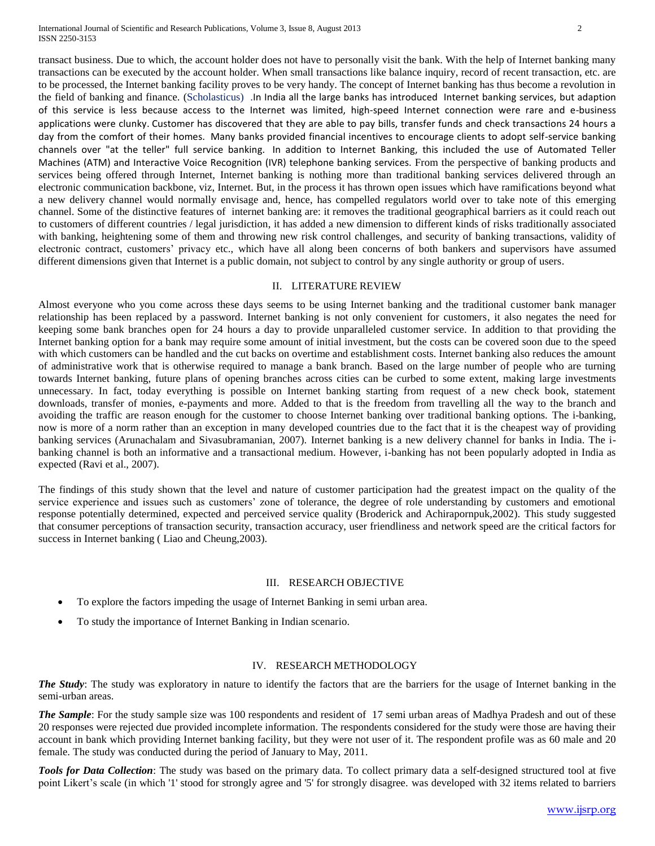International Journal of Scientific and Research Publications, Volume 3, Issue 8, August 2013 2 ISSN 2250-3153

transact business. Due to which, the account holder does not have to personally visit the bank. With the help of Internet banking many transactions can be executed by the account holder. When small transactions like balance inquiry, record of recent transaction, etc. are to be processed, the Internet banking facility proves to be very handy. The concept of Internet banking has thus become a revolution in the field of banking and finance. (Scholasticus) .In India all the large banks has introduced Internet banking services, but adaption of this service is less because access to the Internet was limited, high-speed Internet connection were rare and e-business applications were clunky. Customer has discovered that they are able to pay bills, transfer funds and check transactions 24 hours a day from the comfort of their homes. Many banks provided financial incentives to encourage clients to adopt self-service banking channels over "at the teller" full service banking. In addition to Internet Banking, this included the use of Automated Teller Machines (ATM) and Interactive Voice Recognition (IVR) telephone banking services. From the perspective of banking products and services being offered through Internet, Internet banking is nothing more than traditional banking services delivered through an electronic communication backbone, viz, Internet. But, in the process it has thrown open issues which have ramifications beyond what a new delivery channel would normally envisage and, hence, has compelled regulators world over to take note of this emerging channel. Some of the distinctive features of internet banking are: it removes the traditional geographical barriers as it could reach out to customers of different countries / legal jurisdiction, it has added a new dimension to different kinds of risks traditionally associated with banking, heightening some of them and throwing new risk control challenges, and security of banking transactions, validity of electronic contract, customers' privacy etc., which have all along been concerns of both bankers and supervisors have assumed different dimensions given that Internet is a public domain, not subject to control by any single authority or group of users.

#### II. LITERATURE REVIEW

Almost everyone who you come across these days seems to be using Internet banking and the traditional customer bank manager relationship has been replaced by a password. Internet banking is not only convenient for customers, it also negates the need for keeping some bank branches open for 24 hours a day to provide unparalleled customer service. In addition to that providing the Internet banking option for a bank may require some amount of initial investment, but the costs can be covered soon due to the speed with which customers can be handled and the cut backs on overtime and establishment costs. Internet banking also reduces the amount of administrative work that is otherwise required to manage a bank branch. Based on the large number of people who are turning towards Internet banking, future plans of opening branches across cities can be curbed to some extent, making large investments unnecessary. In fact, today everything is possible on Internet banking starting from request of a new check book, statement downloads, transfer of monies, e-payments and more. Added to that is the freedom from travelling all the way to the branch and avoiding the traffic are reason enough for the customer to choose Internet banking over traditional banking options. The i-banking, now is more of a norm rather than an exception in many developed countries due to the fact that it is the cheapest way of providing banking services (Arunachalam and Sivasubramanian, 2007). Internet banking is a new delivery channel for banks in India. The ibanking channel is both an informative and a transactional medium. However, i-banking has not been popularly adopted in India as expected (Ravi et al., 2007).

The findings of this study shown that the level and nature of customer participation had the greatest impact on the quality of the service experience and issues such as customers' zone of tolerance, the degree of role understanding by customers and emotional response potentially determined, expected and perceived service quality (Broderick and Achirapornpuk,2002). This study suggested that consumer perceptions of transaction security, transaction accuracy, user friendliness and network speed are the critical factors for success in Internet banking ( Liao and Cheung,2003).

#### III. RESEARCH OBJECTIVE

- To explore the factors impeding the usage of Internet Banking in semi urban area.
- To study the importance of Internet Banking in Indian scenario.

## IV. RESEARCH METHODOLOGY

*The Study*: The study was exploratory in nature to identify the factors that are the barriers for the usage of Internet banking in the semi-urban areas.

**The Sample**: For the study sample size was 100 respondents and resident of 17 semi urban areas of Madhya Pradesh and out of these 20 responses were rejected due provided incomplete information. The respondents considered for the study were those are having their account in bank which providing Internet banking facility, but they were not user of it. The respondent profile was as 60 male and 20 female. The study was conducted during the period of January to May, 2011.

*Tools for Data Collection*: The study was based on the primary data. To collect primary data a self-designed structured tool at five point Likert's scale (in which '1' stood for strongly agree and '5' for strongly disagree. was developed with 32 items related to barriers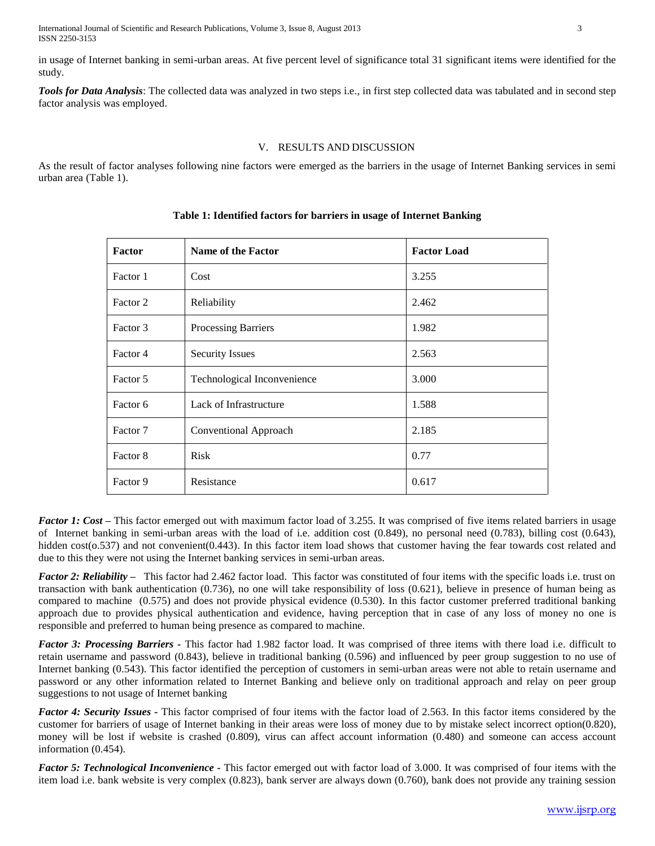International Journal of Scientific and Research Publications, Volume 3, Issue 8, August 2013 3 ISSN 2250-3153

in usage of Internet banking in semi-urban areas. At five percent level of significance total 31 significant items were identified for the study.

*Tools for Data Analysis*: The collected data was analyzed in two steps i.e., in first step collected data was tabulated and in second step factor analysis was employed.

## V. RESULTS AND DISCUSSION

As the result of factor analyses following nine factors were emerged as the barriers in the usage of Internet Banking services in semi urban area (Table 1).

| <b>Factor</b> | Name of the Factor          | <b>Factor Load</b> |
|---------------|-----------------------------|--------------------|
| Factor 1      | Cost                        | 3.255              |
| Factor 2      | Reliability                 | 2.462              |
| Factor 3      | Processing Barriers         | 1.982              |
| Factor 4      | <b>Security Issues</b>      | 2.563              |
| Factor 5      | Technological Inconvenience | 3.000              |
| Factor 6      | Lack of Infrastructure      | 1.588              |
| Factor 7      | Conventional Approach       | 2.185              |
| Factor 8      | <b>Risk</b>                 | 0.77               |
| Factor 9      | Resistance                  | 0.617              |

# **Table 1: Identified factors for barriers in usage of Internet Banking**

*Factor 1: Cost* **–** This factor emerged out with maximum factor load of 3.255. It was comprised of five items related barriers in usage of Internet banking in semi-urban areas with the load of i.e. addition cost (0.849), no personal need (0.783), billing cost (0.643), hidden cost(0.537) and not convenient(0.443). In this factor item load shows that customer having the fear towards cost related and due to this they were not using the Internet banking services in semi-urban areas.

*Factor 2: Reliability –* This factor had 2.462 factor load. This factor was constituted of four items with the specific loads i.e. trust on transaction with bank authentication (0.736), no one will take responsibility of loss (0.621), believe in presence of human being as compared to machine (0.575) and does not provide physical evidence (0.530). In this factor customer preferred traditional banking approach due to provides physical authentication and evidence, having perception that in case of any loss of money no one is responsible and preferred to human being presence as compared to machine.

*Factor 3: Processing Barriers -* This factor had 1.982 factor load. It was comprised of three items with there load i.e. difficult to retain username and password (0.843), believe in traditional banking (0.596) and influenced by peer group suggestion to no use of Internet banking (0.543). This factor identified the perception of customers in semi-urban areas were not able to retain username and password or any other information related to Internet Banking and believe only on traditional approach and relay on peer group suggestions to not usage of Internet banking

*Factor 4: Security Issues -* This factor comprised of four items with the factor load of 2.563. In this factor items considered by the customer for barriers of usage of Internet banking in their areas were loss of money due to by mistake select incorrect option(0.820), money will be lost if website is crashed (0.809), virus can affect account information (0.480) and someone can access account information (0.454).

*Factor 5: Technological Inconvenience -* This factor emerged out with factor load of 3.000. It was comprised of four items with the item load i.e. bank website is very complex (0.823), bank server are always down (0.760), bank does not provide any training session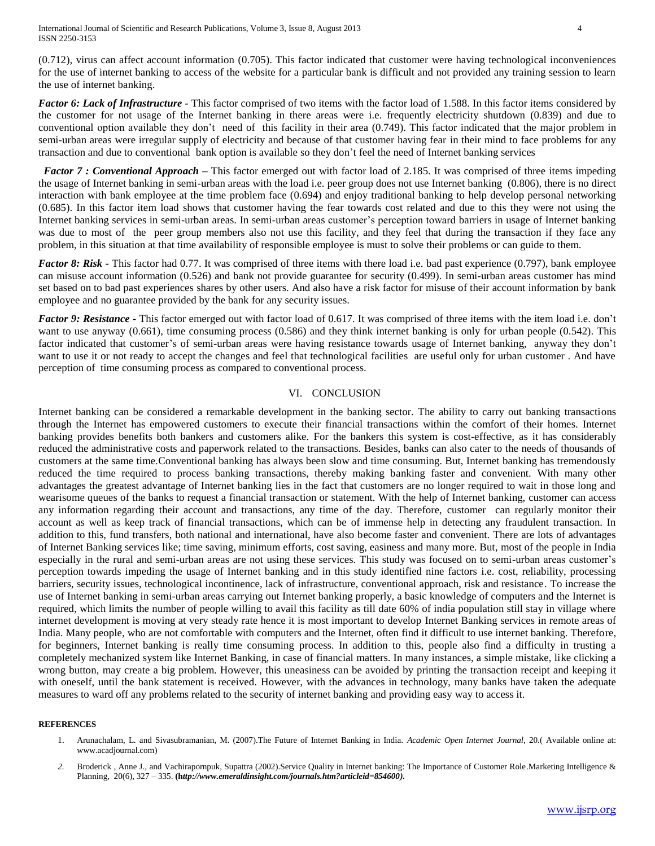(0.712), virus can affect account information (0.705). This factor indicated that customer were having technological inconveniences for the use of internet banking to access of the website for a particular bank is difficult and not provided any training session to learn the use of internet banking.

*Factor 6: Lack of Infrastructure -* This factor comprised of two items with the factor load of 1.588. In this factor items considered by the customer for not usage of the Internet banking in there areas were i.e. frequently electricity shutdown (0.839) and due to conventional option available they don't need of this facility in their area (0.749). This factor indicated that the major problem in semi-urban areas were irregular supply of electricity and because of that customer having fear in their mind to face problems for any transaction and due to conventional bank option is available so they don't feel the need of Internet banking services

 *Factor 7 : Conventional Approach* **–** This factor emerged out with factor load of 2.185. It was comprised of three items impeding the usage of Internet banking in semi-urban areas with the load i.e. peer group does not use Internet banking (0.806), there is no direct interaction with bank employee at the time problem face (0.694) and enjoy traditional banking to help develop personal networking (0.685). In this factor item load shows that customer having the fear towards cost related and due to this they were not using the Internet banking services in semi-urban areas. In semi-urban areas customer's perception toward barriers in usage of Internet banking was due to most of the peer group members also not use this facility, and they feel that during the transaction if they face any problem, in this situation at that time availability of responsible employee is must to solve their problems or can guide to them.

*Factor 8: Risk -* This factor had 0.77. It was comprised of three items with there load i.e. bad past experience (0.797), bank employee can misuse account information (0.526) and bank not provide guarantee for security (0.499). In semi-urban areas customer has mind set based on to bad past experiences shares by other users. And also have a risk factor for misuse of their account information by bank employee and no guarantee provided by the bank for any security issues.

*Factor* 9: Resistance - This factor emerged out with factor load of 0.617. It was comprised of three items with the item load i.e. don't want to use anyway (0.661), time consuming process (0.586) and they think internet banking is only for urban people (0.542). This factor indicated that customer's of semi-urban areas were having resistance towards usage of Internet banking, anyway they don't want to use it or not ready to accept the changes and feel that technological facilities are useful only for urban customer . And have perception of time consuming process as compared to conventional process.

#### VI. CONCLUSION

Internet banking can be considered a remarkable development in the banking sector. The ability to carry out banking transactions through the Internet has empowered customers to execute their financial transactions within the comfort of their homes. Internet banking provides benefits both bankers and customers alike. For the bankers this system is cost-effective, as it has considerably reduced the administrative costs and paperwork related to the transactions. Besides, banks can also cater to the needs of thousands of customers at the same time.Conventional banking has always been slow and time consuming. But, Internet banking has tremendously reduced the time required to process banking transactions, thereby making banking faster and convenient. With many other advantages the greatest advantage of Internet banking lies in the fact that customers are no longer required to wait in those long and wearisome queues of the banks to request a financial transaction or statement. With the help of Internet banking, customer can access any information regarding their account and transactions, any time of the day. Therefore, customer can regularly monitor their account as well as keep track of financial transactions, which can be of immense help in detecting any fraudulent transaction. In addition to this, fund transfers, both national and international, have also become faster and convenient. There are lots of advantages of Internet Banking services like; time saving, minimum efforts, cost saving, easiness and many more. But, most of the people in India especially in the rural and semi-urban areas are not using these services. This study was focused on to semi-urban areas customer's perception towards impeding the usage of Internet banking and in this study identified nine factors i.e. cost, reliability, processing barriers, security issues, technological incontinence, lack of infrastructure, conventional approach, risk and resistance. To increase the use of Internet banking in semi-urban areas carrying out Internet banking properly, a basic knowledge of computers and the Internet is required, which limits the number of people willing to avail this facility as till date 60% of india population still stay in village where internet development is moving at very steady rate hence it is most important to develop Internet Banking services in remote areas of India. Many people, who are not comfortable with computers and the Internet, often find it difficult to use internet banking. Therefore, for beginners, Internet banking is really time consuming process. In addition to this, people also find a difficulty in trusting a completely mechanized system like Internet Banking, in case of financial matters. In many instances, a simple mistake, like clicking a wrong button, may create a big problem. However, this uneasiness can be avoided by printing the transaction receipt and keeping it with oneself, until the bank statement is received. However, with the advances in technology, many banks have taken the adequate measures to ward off any problems related to the security of internet banking and providing easy way to access it.

#### **REFERENCES**

- 1. Arunachalam, L. and Sivasubramanian, M. (2007).The Future of Internet Banking in India. *Academic Open Internet Journal,* 20.( Available online at: www.acadjournal.com)
- *2.* Broderick , Anne J., and Vachirapornpuk, Supattra (2002).Service Quality in Internet banking: The Importance of Customer Role.Marketing Intelligence & Planning, 20(6), 327 – 335. **(h***[ttp://www.emeraldinsight.com/journals.htm?articleid=854600\)](http://www.emeraldinsight.com/journals.htm?articleid=854600).*